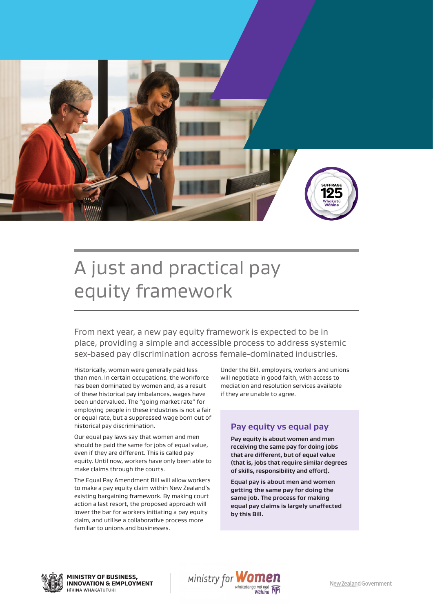

# A just and practical pay equity framework

From next year, a new pay equity framework is expected to be in place, providing a simple and accessible process to address systemic sex-based pay discrimination across female-dominated industries.

Historically, women were generally paid less than men. In certain occupations, the workforce has been dominated by women and, as a result of these historical pay imbalances, wages have been undervalued. The "going market rate" for employing people in these industries is not a fair or equal rate, but a suppressed wage born out of historical pay discrimination.

Our equal pay laws say that women and men should be paid the same for jobs of equal value, even if they are different. This is called pay equity. Until now, workers have only been able to make claims through the courts.

The Equal Pay Amendment Bill will allow workers to make a pay equity claim within New Zealand's existing bargaining framework. By making court action a last resort, the proposed approach will lower the bar for workers initiating a pay equity claim, and utilise a collaborative process more familiar to unions and businesses.

Under the Bill, employers, workers and unions will negotiate in good faith, with access to mediation and resolution services available if they are unable to agree.

#### **Pay equity vs equal pay**

**Pay equity is about women and men receiving the same pay for doing jobs that are different, but of equal value (that is, jobs that require similar degrees of skills, responsibility and effort).**

**Equal pay is about men and women getting the same pay for doing the same job. The process for making equal pay claims is largely unaffected by this Bill.**



**MINISTRY OF BUSINESS, INNOVATION & EMPLOYMENT** HIKINA WHAKATUTUKI

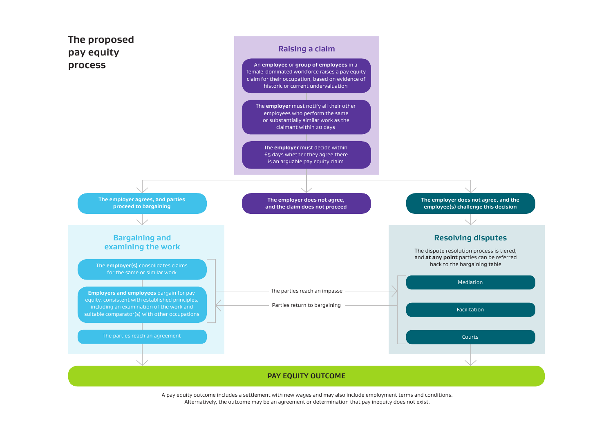

A pay equity outcome includes a settlement with new wages and may also include employment terms and conditions. Alternatively, the outcome may be an agreement or determination that pay inequity does not exist.